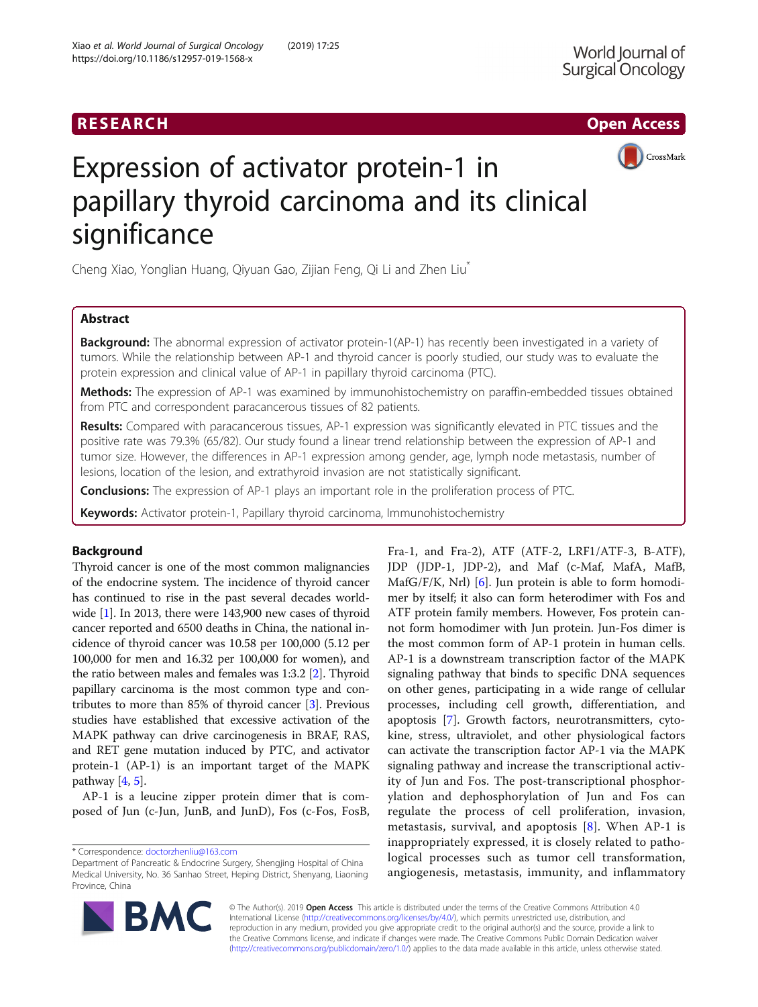# RESEARCH **RESEARCH CHOOSE ACCESS**



# Expression of activator protein-1 in papillary thyroid carcinoma and its clinical significance

Cheng Xiao, Yonglian Huang, Qiyuan Gao, Zijian Feng, Qi Li and Zhen Liu\*

# Abstract

**Background:** The abnormal expression of activator protein-1(AP-1) has recently been investigated in a variety of tumors. While the relationship between AP-1 and thyroid cancer is poorly studied, our study was to evaluate the protein expression and clinical value of AP-1 in papillary thyroid carcinoma (PTC).

Methods: The expression of AP-1 was examined by immunohistochemistry on paraffin-embedded tissues obtained from PTC and correspondent paracancerous tissues of 82 patients.

Results: Compared with paracancerous tissues, AP-1 expression was significantly elevated in PTC tissues and the positive rate was 79.3% (65/82). Our study found a linear trend relationship between the expression of AP-1 and tumor size. However, the differences in AP-1 expression among gender, age, lymph node metastasis, number of lesions, location of the lesion, and extrathyroid invasion are not statistically significant.

**Conclusions:** The expression of AP-1 plays an important role in the proliferation process of PTC.

Keywords: Activator protein-1, Papillary thyroid carcinoma, Immunohistochemistry

# Background

Thyroid cancer is one of the most common malignancies of the endocrine system. The incidence of thyroid cancer has continued to rise in the past several decades worldwide [\[1](#page-3-0)]. In 2013, there were 143,900 new cases of thyroid cancer reported and 6500 deaths in China, the national incidence of thyroid cancer was 10.58 per 100,000 (5.12 per 100,000 for men and 16.32 per 100,000 for women), and the ratio between males and females was 1:3.2 [[2\]](#page-3-0). Thyroid papillary carcinoma is the most common type and contributes to more than 85% of thyroid cancer [[3\]](#page-3-0). Previous studies have established that excessive activation of the MAPK pathway can drive carcinogenesis in BRAF, RAS, and RET gene mutation induced by PTC, and activator protein-1 (AP-1) is an important target of the MAPK pathway  $[4, 5]$  $[4, 5]$  $[4, 5]$  $[4, 5]$ .

AP-1 is a leucine zipper protein dimer that is composed of Jun (c-Jun, JunB, and JunD), Fos (c-Fos, FosB,

\* Correspondence: [doctorzhenliu@163.com](mailto:doctorzhenliu@163.com)

JDP (JDP-1, JDP-2), and Maf (c-Maf, MafA, MafB, MafG/F/K, Nrl) [\[6](#page-4-0)]. Jun protein is able to form homodimer by itself; it also can form heterodimer with Fos and ATF protein family members. However, Fos protein cannot form homodimer with Jun protein. Jun-Fos dimer is the most common form of AP-1 protein in human cells. AP-1 is a downstream transcription factor of the MAPK signaling pathway that binds to specific DNA sequences on other genes, participating in a wide range of cellular processes, including cell growth, differentiation, and apoptosis [\[7](#page-4-0)]. Growth factors, neurotransmitters, cytokine, stress, ultraviolet, and other physiological factors can activate the transcription factor AP-1 via the MAPK signaling pathway and increase the transcriptional activity of Jun and Fos. The post-transcriptional phosphorylation and dephosphorylation of Jun and Fos can regulate the process of cell proliferation, invasion, metastasis, survival, and apoptosis [\[8](#page-4-0)]. When AP-1 is inappropriately expressed, it is closely related to pathological processes such as tumor cell transformation, angiogenesis, metastasis, immunity, and inflammatory

Fra-1, and Fra-2), ATF (ATF-2, LRF1/ATF-3, B-ATF),



© The Author(s). 2019 Open Access This article is distributed under the terms of the Creative Commons Attribution 4.0 International License [\(http://creativecommons.org/licenses/by/4.0/](http://creativecommons.org/licenses/by/4.0/)), which permits unrestricted use, distribution, and reproduction in any medium, provided you give appropriate credit to the original author(s) and the source, provide a link to the Creative Commons license, and indicate if changes were made. The Creative Commons Public Domain Dedication waiver [\(http://creativecommons.org/publicdomain/zero/1.0/](http://creativecommons.org/publicdomain/zero/1.0/)) applies to the data made available in this article, unless otherwise stated.

Department of Pancreatic & Endocrine Surgery, Shengjing Hospital of China Medical University, No. 36 Sanhao Street, Heping District, Shenyang, Liaoning Province, China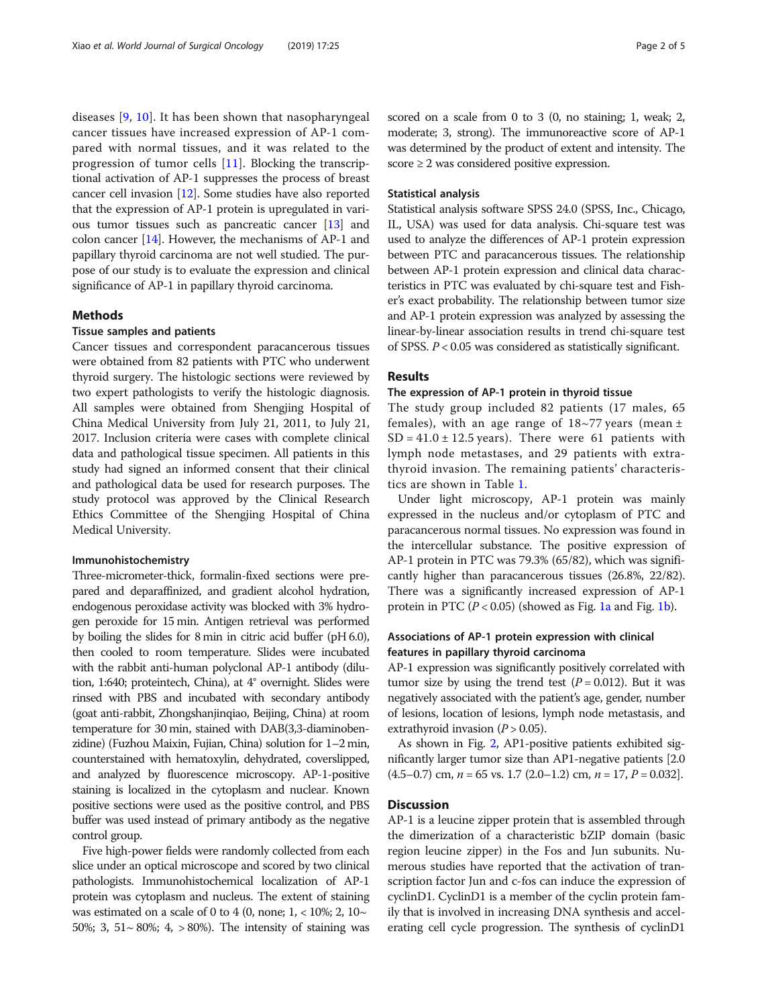diseases [[9,](#page-4-0) [10](#page-4-0)]. It has been shown that nasopharyngeal cancer tissues have increased expression of AP-1 compared with normal tissues, and it was related to the progression of tumor cells [\[11\]](#page-4-0). Blocking the transcriptional activation of AP-1 suppresses the process of breast cancer cell invasion [\[12\]](#page-4-0). Some studies have also reported that the expression of AP-1 protein is upregulated in various tumor tissues such as pancreatic cancer [\[13](#page-4-0)] and colon cancer [\[14\]](#page-4-0). However, the mechanisms of AP-1 and papillary thyroid carcinoma are not well studied. The purpose of our study is to evaluate the expression and clinical significance of AP-1 in papillary thyroid carcinoma.

## Methods

#### Tissue samples and patients

Cancer tissues and correspondent paracancerous tissues were obtained from 82 patients with PTC who underwent thyroid surgery. The histologic sections were reviewed by two expert pathologists to verify the histologic diagnosis. All samples were obtained from Shengjing Hospital of China Medical University from July 21, 2011, to July 21, 2017. Inclusion criteria were cases with complete clinical data and pathological tissue specimen. All patients in this study had signed an informed consent that their clinical and pathological data be used for research purposes. The study protocol was approved by the Clinical Research Ethics Committee of the Shengjing Hospital of China Medical University.

# Immunohistochemistry

Three-micrometer-thick, formalin-fixed sections were prepared and deparaffinized, and gradient alcohol hydration, endogenous peroxidase activity was blocked with 3% hydrogen peroxide for 15 min. Antigen retrieval was performed by boiling the slides for 8 min in citric acid buffer (pH 6.0), then cooled to room temperature. Slides were incubated with the rabbit anti-human polyclonal AP-1 antibody (dilution, 1:640; proteintech, China), at 4° overnight. Slides were rinsed with PBS and incubated with secondary antibody (goat anti-rabbit, Zhongshanjinqiao, Beijing, China) at room temperature for 30 min, stained with DAB(3,3-diaminobenzidine) (Fuzhou Maixin, Fujian, China) solution for 1–2 min, counterstained with hematoxylin, dehydrated, coverslipped, and analyzed by fluorescence microscopy. AP-1-positive staining is localized in the cytoplasm and nuclear. Known positive sections were used as the positive control, and PBS buffer was used instead of primary antibody as the negative control group.

Five high-power fields were randomly collected from each slice under an optical microscope and scored by two clinical pathologists. Immunohistochemical localization of AP-1 protein was cytoplasm and nucleus. The extent of staining was estimated on a scale of 0 to 4 (0, none;  $1, < 10\%$ ;  $2, 10\sim$ 50%; 3, 51 $\sim$  80%; 4,  $>$  80%). The intensity of staining was scored on a scale from 0 to 3 (0, no staining; 1, weak; 2, moderate; 3, strong). The immunoreactive score of AP-1 was determined by the product of extent and intensity. The score  $\geq 2$  was considered positive expression.

# Statistical analysis

Statistical analysis software SPSS 24.0 (SPSS, Inc., Chicago, IL, USA) was used for data analysis. Chi-square test was used to analyze the differences of AP-1 protein expression between PTC and paracancerous tissues. The relationship between AP-1 protein expression and clinical data characteristics in PTC was evaluated by chi-square test and Fisher's exact probability. The relationship between tumor size and AP-1 protein expression was analyzed by assessing the linear-by-linear association results in trend chi-square test of SPSS. P < 0.05 was considered as statistically significant.

# Results

# The expression of AP-1 protein in thyroid tissue

The study group included 82 patients (17 males, 65 females), with an age range of  $18~\text{--}77$  years (mean  $\pm$  $SD = 41.0 \pm 12.5$  years). There were 61 patients with lymph node metastases, and 29 patients with extrathyroid invasion. The remaining patients' characteristics are shown in Table [1](#page-2-0).

Under light microscopy, AP-1 protein was mainly expressed in the nucleus and/or cytoplasm of PTC and paracancerous normal tissues. No expression was found in the intercellular substance. The positive expression of AP-1 protein in PTC was 79.3% (65/82), which was significantly higher than paracancerous tissues (26.8%, 22/82). There was a significantly increased expression of AP-1 protein in PTC  $(P < 0.05)$  (showed as Fig. [1a](#page-2-0) and Fig. [1b\)](#page-2-0).

# Associations of AP-1 protein expression with clinical features in papillary thyroid carcinoma

AP-1 expression was significantly positively correlated with tumor size by using the trend test  $(P = 0.012)$ . But it was negatively associated with the patient's age, gender, number of lesions, location of lesions, lymph node metastasis, and extrathyroid invasion  $(P > 0.05)$ .

As shown in Fig. [2](#page-3-0), AP1-positive patients exhibited significantly larger tumor size than AP1-negative patients [2.0  $(4.5-0.7)$  cm,  $n = 65$  vs. 1.7  $(2.0-1.2)$  cm,  $n = 17$ ,  $P = 0.032$ .

# **Discussion**

AP-1 is a leucine zipper protein that is assembled through the dimerization of a characteristic bZIP domain (basic region leucine zipper) in the Fos and Jun subunits. Numerous studies have reported that the activation of transcription factor Jun and c-fos can induce the expression of cyclinD1. CyclinD1 is a member of the cyclin protein family that is involved in increasing DNA synthesis and accelerating cell cycle progression. The synthesis of cyclinD1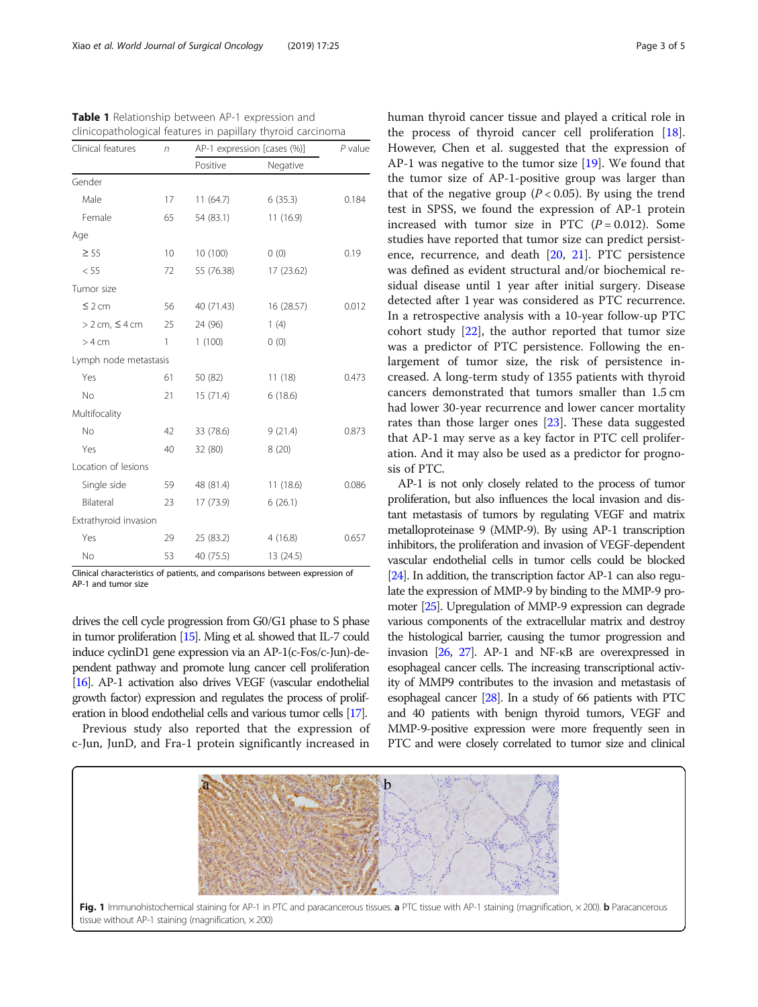| Clinical features     | $\sqrt{n}$ | AP-1 expression [cases (%)] |            | $P$ value |
|-----------------------|------------|-----------------------------|------------|-----------|
|                       |            | Positive                    | Negative   |           |
| Gender                |            |                             |            |           |
| Male                  | 17         | 11(64.7)                    | 6(35.3)    | 0.184     |
| Female                | 65         | 54 (83.1)                   | 11 (16.9)  |           |
| Age                   |            |                             |            |           |
| $\geq 55$             | 10         | 10 (100)                    | 0(0)       | 0.19      |
| < 55                  | 72         | 55 (76.38)                  | 17 (23.62) |           |
| Tumor size            |            |                             |            |           |
| $\leq$ 2 cm           | 56         | 40 (71.43)                  | 16 (28.57) | 0.012     |
| $> 2$ cm, $\leq 4$ cm | 25         | 24 (96)                     | 1(4)       |           |
| $>4$ cm               | 1          | 1(100)                      | 0(0)       |           |
| Lymph node metastasis |            |                             |            |           |
| Yes                   | 61         | 50 (82)                     | 11(18)     | 0.473     |
| <b>No</b>             | 21         | 15 (71.4)                   | 6(18.6)    |           |
| Multifocality         |            |                             |            |           |
| <b>No</b>             | 42         | 33 (78.6)                   | 9(21.4)    | 0.873     |
| Yes                   | 40         | 32 (80)                     | 8(20)      |           |
| Location of lesions   |            |                             |            |           |
| Single side           | 59         | 48 (81.4)                   | 11(18.6)   | 0.086     |
| Bilateral             | 23         | 17 (73.9)                   | 6(26.1)    |           |
| Extrathyroid invasion |            |                             |            |           |
| Yes                   | 29         | 25 (83.2)                   | 4(16.8)    | 0.657     |
| <b>No</b>             | 53         | 40 (75.5)                   | 13 (24.5)  |           |

<span id="page-2-0"></span>Table 1 Relationship between AP-1 expression and clinicopathological features in papillary thyroid carcinoma

Clinical characteristics of patients, and comparisons between expression of AP-1 and tumor size

drives the cell cycle progression from G0/G1 phase to S phase in tumor proliferation [\[15](#page-4-0)]. Ming et al. showed that IL-7 could induce cyclinD1 gene expression via an AP-1(c-Fos/c-Jun)-dependent pathway and promote lung cancer cell proliferation [\[16\]](#page-4-0). AP-1 activation also drives VEGF (vascular endothelial growth factor) expression and regulates the process of proliferation in blood endothelial cells and various tumor cells [\[17](#page-4-0)].

Previous study also reported that the expression of c-Jun, JunD, and Fra-1 protein significantly increased in human thyroid cancer tissue and played a critical role in the process of thyroid cancer cell proliferation [\[18](#page-4-0)]. However, Chen et al. suggested that the expression of AP-1 was negative to the tumor size [\[19\]](#page-4-0). We found that the tumor size of AP-1-positive group was larger than that of the negative group ( $P < 0.05$ ). By using the trend test in SPSS, we found the expression of AP-1 protein increased with tumor size in PTC  $(P = 0.012)$ . Some studies have reported that tumor size can predict persistence, recurrence, and death [\[20](#page-4-0), [21](#page-4-0)]. PTC persistence was defined as evident structural and/or biochemical residual disease until 1 year after initial surgery. Disease detected after 1 year was considered as PTC recurrence. In a retrospective analysis with a 10-year follow-up PTC cohort study  $[22]$  $[22]$  $[22]$ , the author reported that tumor size was a predictor of PTC persistence. Following the enlargement of tumor size, the risk of persistence increased. A long-term study of 1355 patients with thyroid cancers demonstrated that tumors smaller than 1.5 cm had lower 30-year recurrence and lower cancer mortality rates than those larger ones [\[23\]](#page-4-0). These data suggested that AP-1 may serve as a key factor in PTC cell proliferation. And it may also be used as a predictor for prognosis of PTC.

AP-1 is not only closely related to the process of tumor proliferation, but also influences the local invasion and distant metastasis of tumors by regulating VEGF and matrix metalloproteinase 9 (MMP-9). By using AP-1 transcription inhibitors, the proliferation and invasion of VEGF-dependent vascular endothelial cells in tumor cells could be blocked [[24\]](#page-4-0). In addition, the transcription factor AP-1 can also regulate the expression of MMP-9 by binding to the MMP-9 promoter [\[25](#page-4-0)]. Upregulation of MMP-9 expression can degrade various components of the extracellular matrix and destroy the histological barrier, causing the tumor progression and invasion [\[26,](#page-4-0) [27\]](#page-4-0). AP-1 and NF-κB are overexpressed in esophageal cancer cells. The increasing transcriptional activity of MMP9 contributes to the invasion and metastasis of esophageal cancer [\[28\]](#page-4-0). In a study of 66 patients with PTC and 40 patients with benign thyroid tumors, VEGF and MMP-9-positive expression were more frequently seen in PTC and were closely correlated to tumor size and clinical

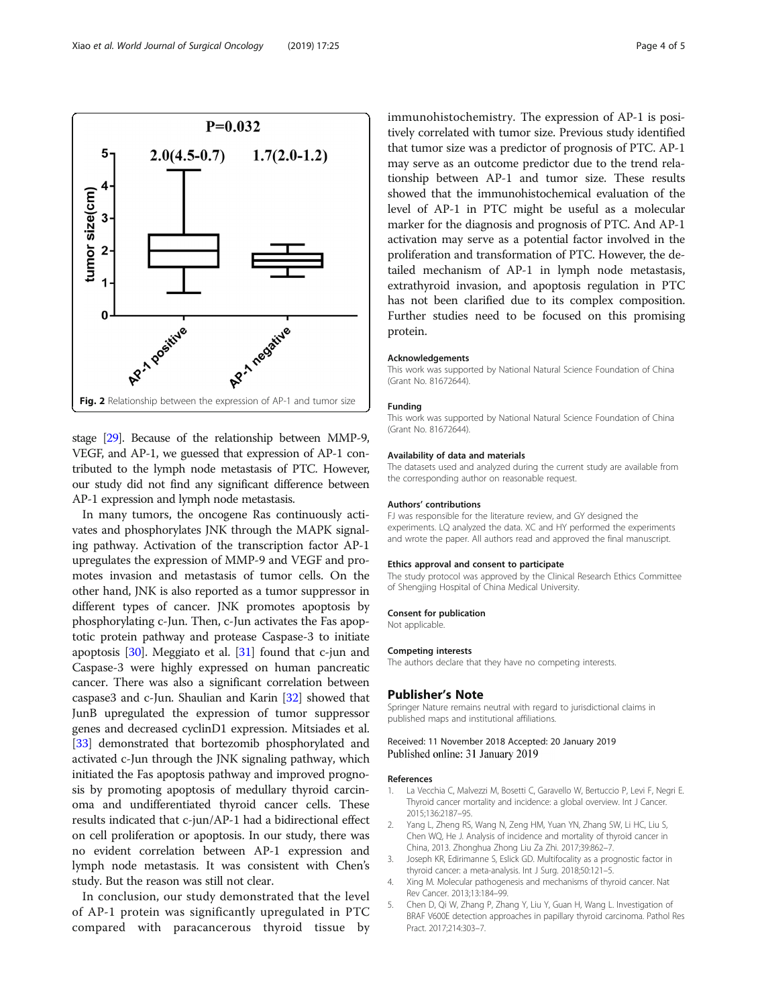<span id="page-3-0"></span>

stage [\[29](#page-4-0)]. Because of the relationship between MMP-9, VEGF, and AP-1, we guessed that expression of AP-1 contributed to the lymph node metastasis of PTC. However, our study did not find any significant difference between AP-1 expression and lymph node metastasis.

In many tumors, the oncogene Ras continuously activates and phosphorylates JNK through the MAPK signaling pathway. Activation of the transcription factor AP-1 upregulates the expression of MMP-9 and VEGF and promotes invasion and metastasis of tumor cells. On the other hand, JNK is also reported as a tumor suppressor in different types of cancer. JNK promotes apoptosis by phosphorylating c-Jun. Then, c-Jun activates the Fas apoptotic protein pathway and protease Caspase-3 to initiate apoptosis [\[30\]](#page-4-0). Meggiato et al. [[31](#page-4-0)] found that c-jun and Caspase-3 were highly expressed on human pancreatic cancer. There was also a significant correlation between caspase3 and c-Jun. Shaulian and Karin [[32\]](#page-4-0) showed that JunB upregulated the expression of tumor suppressor genes and decreased cyclinD1 expression. Mitsiades et al. [[33](#page-4-0)] demonstrated that bortezomib phosphorylated and activated c-Jun through the JNK signaling pathway, which initiated the Fas apoptosis pathway and improved prognosis by promoting apoptosis of medullary thyroid carcinoma and undifferentiated thyroid cancer cells. These results indicated that c-jun/AP-1 had a bidirectional effect on cell proliferation or apoptosis. In our study, there was no evident correlation between AP-1 expression and lymph node metastasis. It was consistent with Chen's study. But the reason was still not clear.

In conclusion, our study demonstrated that the level of AP-1 protein was significantly upregulated in PTC compared with paracancerous thyroid tissue by immunohistochemistry. The expression of AP-1 is positively correlated with tumor size. Previous study identified that tumor size was a predictor of prognosis of PTC. AP-1 may serve as an outcome predictor due to the trend relationship between AP-1 and tumor size. These results showed that the immunohistochemical evaluation of the level of AP-1 in PTC might be useful as a molecular marker for the diagnosis and prognosis of PTC. And AP-1 activation may serve as a potential factor involved in the proliferation and transformation of PTC. However, the detailed mechanism of AP-1 in lymph node metastasis, extrathyroid invasion, and apoptosis regulation in PTC has not been clarified due to its complex composition. Further studies need to be focused on this promising protein.

#### Acknowledgements

This work was supported by National Natural Science Foundation of China (Grant No. 81672644).

#### Funding

This work was supported by National Natural Science Foundation of China (Grant No. 81672644).

#### Availability of data and materials

The datasets used and analyzed during the current study are available from the corresponding author on reasonable request.

#### Authors' contributions

FJ was responsible for the literature review, and GY designed the experiments. LQ analyzed the data. XC and HY performed the experiments and wrote the paper. All authors read and approved the final manuscript.

#### Ethics approval and consent to participate

The study protocol was approved by the Clinical Research Ethics Committee of Shengjing Hospital of China Medical University.

#### Consent for publication

Not applicable.

# Competing interests

The authors declare that they have no competing interests.

#### Publisher's Note

Springer Nature remains neutral with regard to jurisdictional claims in published maps and institutional affiliations.

# Received: 11 November 2018 Accepted: 20 January 2019 Published online: 31 January 2019

#### References

- La Vecchia C, Malvezzi M, Bosetti C, Garavello W, Bertuccio P, Levi F, Negri E. Thyroid cancer mortality and incidence: a global overview. Int J Cancer. 2015;136:2187–95.
- 2. Yang L, Zheng RS, Wang N, Zeng HM, Yuan YN, Zhang SW, Li HC, Liu S, Chen WQ, He J. Analysis of incidence and mortality of thyroid cancer in China, 2013. Zhonghua Zhong Liu Za Zhi. 2017;39:862–7.
- 3. Joseph KR, Edirimanne S, Eslick GD. Multifocality as a prognostic factor in thyroid cancer: a meta-analysis. Int J Surg. 2018;50:121–5.
- 4. Xing M. Molecular pathogenesis and mechanisms of thyroid cancer. Nat Rev Cancer. 2013;13:184–99.
- 5. Chen D, Qi W, Zhang P, Zhang Y, Liu Y, Guan H, Wang L. Investigation of BRAF V600E detection approaches in papillary thyroid carcinoma. Pathol Res Pract. 2017;214:303–7.